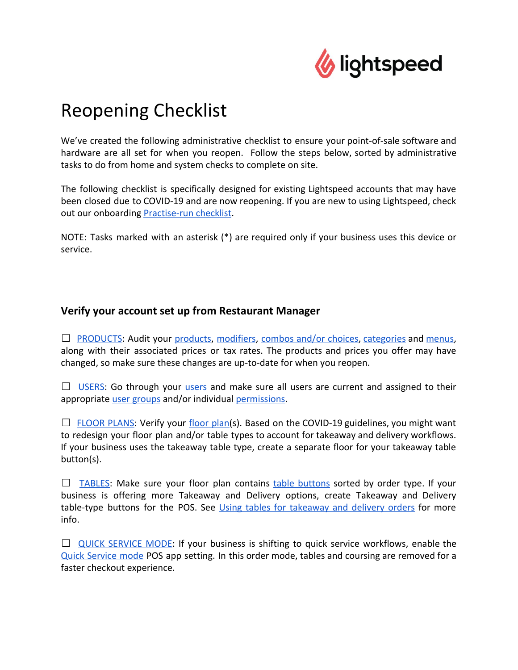

# Reopening Checklist

We've created the following administrative checklist to ensure your point-of-sale software and hardware are all set for when you reopen. Follow the steps below, sorted by administrative tasks to do from home and system checks to complete on site.

The following checklist is specifically designed for existing Lightspeed accounts that may have been closed due to COVID-19 and are now reopening. If you are new to using Lightspeed, check out our onboarding [Practise-run checklist.](https://resto-support.lightspeedhq.com/hc/en-us/articles/228266668-Practice-run-checklist)

NOTE: Tasks marked with an asterisk (\*) are required only if your business uses this device or service.

## **Verify your account set up from Restaurant Manager**

 $\Box$  [PRODUCTS:](https://resto-support.lightspeedhq.com/hc/en-us/articles/226404708-About-products) Audit your [products,](https://resto-support.lightspeedhq.com/hc/en-us/articles/226404708-About-products) [modifiers](https://resto-support.lightspeedhq.com/hc/en-us/articles/226305467-About-modifiers), [combos](https://resto-support.lightspeedhq.com/hc/en-us/articles/360041338474-About-combos-and-choices) and/or choices, [categories](https://resto-support.lightspeedhq.com/hc/en-us/articles/226305347-About-categories) and [menus](https://resto-support.lightspeedhq.com/hc/en-us/articles/360022531453-About-menus), along with their associated prices or tax rates. The products and prices you offer may have changed, so make sure these changes are up-to-date for when you reopen.

 $\Box$  [USERS:](https://resto-support.lightspeedhq.com/hc/en-us/articles/226305987-About-users) Go through your [users](https://resto-support.lightspeedhq.com/hc/en-us/articles/226305987-About-users) and make sure all users are current and assigned to their appropriate *user groups* and/or individual *permissions*.

 $\Box$  [FLOOR](https://resto-support.lightspeedhq.com/hc/en-us/articles/226404268-Creating-floors) PLANS: Verify your [floor](https://resto-support.lightspeedhq.com/hc/en-us/articles/226404268-Creating-floors) plan(s). Based on the COVID-19 guidelines, you might want to redesign your floor plan and/or table types to account for takeaway and delivery workflows. If your business uses the takeaway table type, create a separate floor for your takeaway table button(s).

 $\Box$  [TABLES:](https://resto-support.lightspeedhq.com/hc/en-us/articles/226305207-Creating-tables) Make sure your floor plan contains table [buttons](https://resto-support.lightspeedhq.com/hc/en-us/articles/226305207-Creating-tables) sorted by order type. If your business is offering more Takeaway and Delivery options, create Takeaway and Delivery table-type buttons for the POS. See Using tables for [takeaway](https://resto-support.lightspeedhq.com/hc/en-us/articles/226405808-Using-tables-for-takeout-and-delivery-orders) and delivery orders for more info.

 $\Box$  QUICK [SERVICE](https://resto-support.lightspeedhq.com/hc/en-us/articles/360039212374) MODE: If your business is shifting to quick service workflows, enable the Quick [Service](https://resto-support.lightspeedhq.com/hc/en-us/articles/360039212374) mode POS app setting. In this order mode, tables and coursing are removed for a faster checkout experience.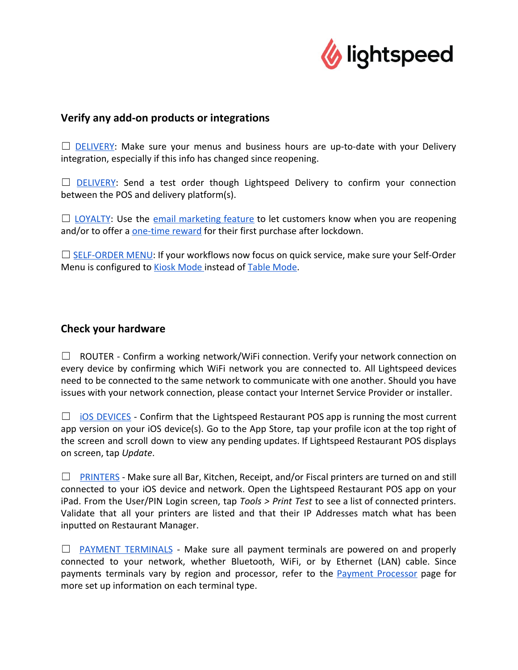

### **Verify any add-on products or integrations**

 $\Box$  [DELIVERY](https://resto-support.lightspeedhq.com/hc/en-us/articles/360018732534-About-Lightspeed-Delivery): Make sure your menus and business hours are up-to-date with your Delivery integration, especially if this info has changed since reopening.

 $\Box$  [DELIVERY](https://resto-support.lightspeedhq.com/hc/en-us/articles/360018732534-About-Lightspeed-Delivery): Send a test order though Lightspeed Delivery to confirm your connection between the POS and delivery platform(s).

 $\Box$  [LOYALTY](https://resto-support.lightspeedhq.com/hc/en-us/articles/360009386554-About-Lightspeed-Loyalty): Use the email [marketing](https://resto-support.lightspeedhq.com/hc/en-us/articles/360012367513-Email-marketing) feature to let customers know when you are reopening and/or to offer a [one-time reward](https://resto-support.lightspeedhq.com/hc/en-us/articles/360012062173-Rewards) for their first purchase after lockdown.

 $\Box$  [SELF-ORDER](https://resto-support.lightspeedhq.com/hc/en-us/articles/227072008-About-Table-mode) MENU: If your workflows now focus on quick service, make sure your Self-Order Menu is configured to [Kiosk Mode i](https://resto-support.lightspeedhq.com/hc/en-us/articles/227069748-About-Kiosk-mode)nstead of [Table Mode](https://resto-support.lightspeedhq.com/hc/en-us/articles/227072008-About-Table-mode).

#### **Check your hardware**

□ ROUTER - Confirm a working network/WiFi connection. Verify your network connection on every device by confirming which WiFi network you are connected to. All Lightspeed devices need to be connected to the same network to communicate with one another. Should you have issues with your network connection, please contact your Internet Service Provider or installer.

 $\Box$  iOS [DEVICES](https://resto-support.lightspeedhq.com/hc/en-us/articles/115003931328-Updating-Restaurant-POS) - Confirm that the Lightspeed Restaurant POS app is running the most current app version on your iOS device(s). Go to the App Store, tap your profile icon at the top right of the screen and scroll down to view any pending updates. If Lightspeed Restaurant POS displays on screen, tap *Update*.

 $\Box$  [PRINTERS](https://resto-support.lightspeedhq.com/hc/en-us/articles/360045285713-About-printing) - Make sure all Bar, Kitchen, Receipt, and/or Fiscal printers are turned on and still connected to your iOS device and network. Open the Lightspeed Restaurant POS app on your iPad. From the User/PIN Login screen, tap *Tools > Print Test* to see a list of connected printers. Validate that all your printers are listed and that their IP Addresses match what has been inputted on Restaurant Manager.

 $\Box$  PAYMENT [TERMINALS](https://resto-support.lightspeedhq.com/hc/en-us/articles/360000359654-About-payment-processing) - Make sure all payment terminals are powered on and properly connected to your network, whether Bluetooth, WiFi, or by Ethernet (LAN) cable. Since payments terminals vary by region and processor, refer to the Payment [Processor](https://resto-support.lightspeedhq.com/hc/en-us/articles/360000359654) page for more set up information on each terminal type.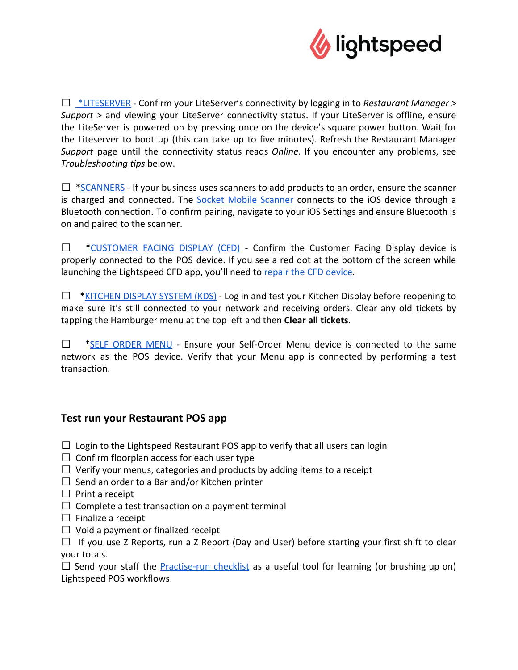

☐ [\\*LITESERVER](https://resto-support.lightspeedhq.com/hc/en-us/articles/115003529548-About-the-LiteServer) - Confirm your LiteServer's connectivity by logging in to *Restaurant Manager > Support >* and viewing your LiteServer connectivity status. If your LiteServer is offline, ensure the LiteServer is powered on by pressing once on the device's square power button. Wait for the Liteserver to boot up (this can take up to five minutes). Refresh the Restaurant Manager *Support* page until the connectivity status reads *Online*. If you encounter any problems, see *Troubleshooting tips* below.

 $\Box$  [\\*SCANNERS](https://resto-support.lightspeedhq.com/hc/en-us/articles/360024043254) - If your business uses scanners to add products to an order, ensure the scanner is charged and connected. The **Socket Mobile [Scanner](https://resto-support.lightspeedhq.com/hc/en-us/articles/360024043254-Setting-up-the-Socket-Mobile-S700)** connects to the iOS device through a Bluetooth connection. To confirm pairing, navigate to your iOS Settings and ensure Bluetooth is on and paired to the scanner.

□ [\\*CUSTOMER](https://resto-support.lightspeedhq.com/hc/en-us/articles/115001010114-About-Customer-Facing-Display) FACING DISPLAY (CFD) - Confirm the Customer Facing Display device is properly connected to the POS device. If you see a red dot at the bottom of the screen while launching the Lightspeed CFD app, you'll need to [repair the CFD device.](https://resto-support.lightspeedhq.com/hc/en-us/articles/115001011534-Pairing-the-Customer-Facing-Display)

 $\Box$  [\\*KITCHEN](https://resto-support.lightspeedhq.com/hc/en-us/articles/360038745453-About-using-Kitchen) DISPLAY SYSTEM (KDS) - Log in and test your Kitchen Display before reopening to make sure it's still connected to your network and receiving orders. Clear any old tickets by tapping the Hamburger menu at the top left and then **Clear all tickets**.

☐ \*SELF [ORDER](https://resto-support.lightspeedhq.com/hc/en-us/articles/227072088-About-Self-Order-Menu) MENU - Ensure your Self-Order Menu device is connected to the same network as the POS device. Verify that your Menu app is connected by performing a test transaction.

# **Test run your Restaurant POS app**

- $\Box$  Login to the Lightspeed Restaurant POS app to verify that all users can login
- $\Box$  Confirm floorplan access for each user type
- $\Box$  Verify your menus, categories and products by adding items to a receipt
- $\Box$  Send an order to a Bar and/or Kitchen printer
- $\Box$  Print a receipt
- $\Box$  Complete a test transaction on a payment terminal
- $\Box$  Finalize a receipt
- $\Box$  Void a payment or finalized receipt

 $\Box$  If you use Z Reports, run a Z Report (Day and User) before starting your first shift to clear your totals.

 $\Box$  Send your staff the **[Practise-run](https://resto-support.lightspeedhq.com/hc/en-us/articles/228266668-Practice-run-checklist) checklist** as a useful tool for learning (or brushing up on) Lightspeed POS workflows.